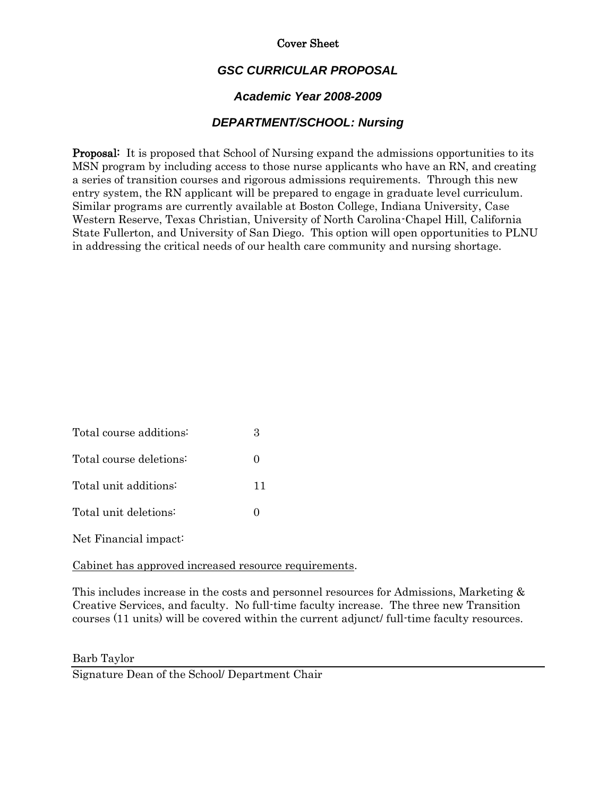### Cover Sheet

## *GSC CURRICULAR PROPOSAL*

### *Academic Year 2008-2009*

### *DEPARTMENT/SCHOOL: Nursing*

Proposal: It is proposed that School of Nursing expand the admissions opportunities to its MSN program by including access to those nurse applicants who have an RN, and creating a series of transition courses and rigorous admissions requirements. Through this new entry system, the RN applicant will be prepared to engage in graduate level curriculum. Similar programs are currently available at Boston College, Indiana University, Case Western Reserve, Texas Christian, University of North Carolina-Chapel Hill, California State Fullerton, and University of San Diego. This option will open opportunities to PLNU in addressing the critical needs of our health care community and nursing shortage.

| Total course additions: |                   |
|-------------------------|-------------------|
| Total course deletions: | $\mathbf{\Omega}$ |
| Total unit additions:   | 11                |
| Total unit deletions:   |                   |
|                         |                   |

Net Financial impact:

#### Cabinet has approved increased resource requirements.

This includes increase in the costs and personnel resources for Admissions, Marketing & Creative Services, and faculty. No full-time faculty increase. The three new Transition courses (11 units) will be covered within the current adjunct/ full-time faculty resources.

Barb Taylor

Signature Dean of the School/ Department Chair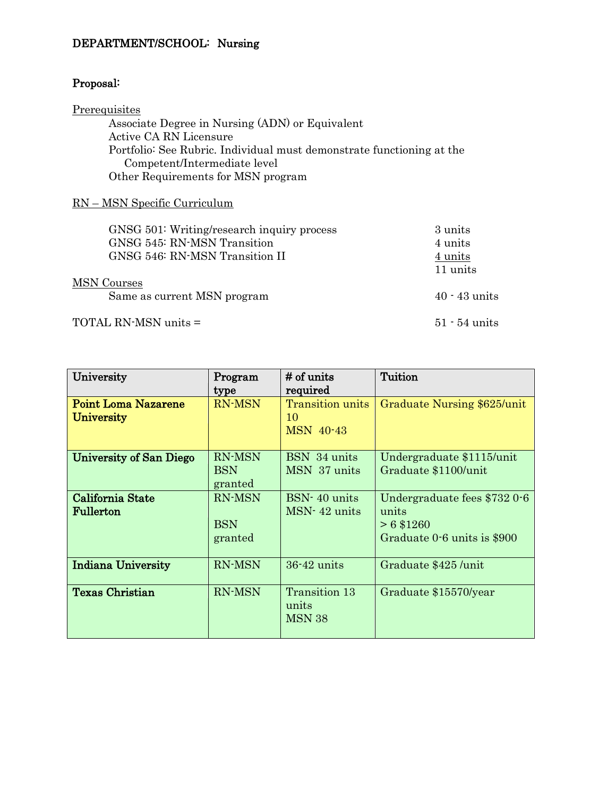## DEPARTMENT/SCHOOL: Nursing

# Proposal:

## **Prerequisites** Associate Degree in Nursing (ADN) or Equivalent Active CA RN Licensure Portfolio: See Rubric. Individual must demonstrate functioning at the Competent/Intermediate level Other Requirements for MSN program

### RN – MSN Specific Curriculum

| GNSG 501: Writing/research inquiry process | 3 units         |
|--------------------------------------------|-----------------|
| GNSG 545: RN-MSN Transition                | 4 units         |
| GNSG 546: RN-MSN Transition II             | 4 units         |
|                                            | 11 units        |
| <b>MSN</b> Courses                         |                 |
| Same as current MSN program                | $40 - 43$ units |
| TOTAL RN-MSN units =                       | $51 - 54$ units |

| University                                      | Program<br>type                        | # of units<br>required                            | Tuition                                                                              |
|-------------------------------------------------|----------------------------------------|---------------------------------------------------|--------------------------------------------------------------------------------------|
| <b>Point Loma Nazarene</b><br><b>University</b> | <b>RN-MSN</b>                          | <b>Transition units</b><br>10<br><b>MSN 40-43</b> | Graduate Nursing \$625/unit                                                          |
| <b>University of San Diego</b>                  | <b>RN-MSN</b><br>BSN<br>granted        | BSN 34 units<br>MSN 37 units                      | Undergraduate \$1115/unit<br>Graduate \$1100/unit                                    |
| California State<br>Fullerton                   | <b>RN-MSN</b><br><b>BSN</b><br>granted | $BSN-40$ units<br>$MSN-42$ units                  | Undergraduate fees \$732 0-6<br>units<br>$> 6$ \$1260<br>Graduate 0.6 units is \$900 |
| <b>Indiana University</b>                       | <b>RN-MSN</b>                          | $36 - 42$ units                                   | Graduate \$425/unit                                                                  |
| <b>Texas Christian</b>                          | <b>RN-MSN</b>                          | Transition 13<br>units<br><b>MSN 38</b>           | Graduate \$15570/year                                                                |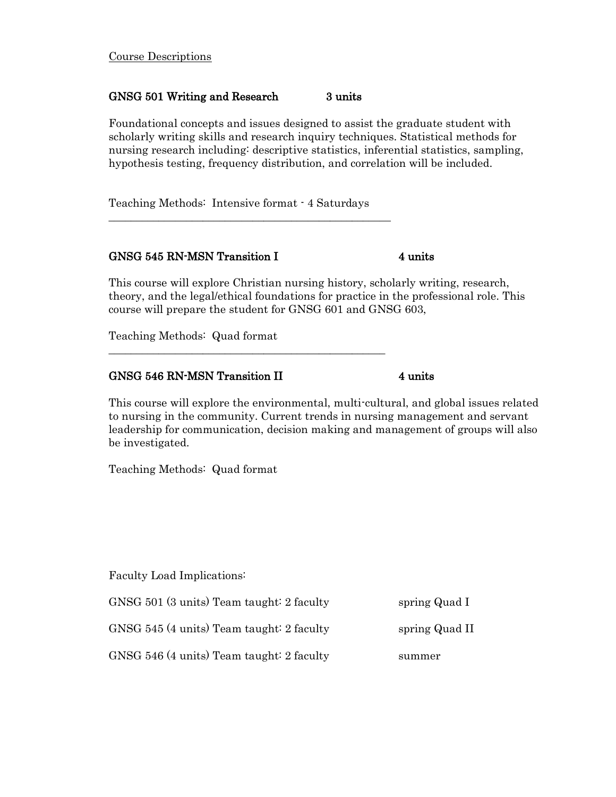#### Course Descriptions

#### GNSG 501 Writing and Research 3 units

Foundational concepts and issues designed to assist the graduate student with scholarly writing skills and research inquiry techniques. Statistical methods for nursing research including: descriptive statistics, inferential statistics, sampling, hypothesis testing, frequency distribution, and correlation will be included.

Teaching Methods: Intensive format - 4 Saturdays

\_\_\_\_\_\_\_\_\_\_\_\_\_\_\_\_\_\_\_\_\_\_\_\_\_\_\_\_\_\_\_\_\_\_\_\_\_\_\_\_\_\_\_\_\_\_\_\_\_\_\_

#### GNSG 545 RN-MSN Transition I 4 units

This course will explore Christian nursing history, scholarly writing, research, theory, and the legal/ethical foundations for practice in the professional role. This course will prepare the student for GNSG 601 and GNSG 603,

Teaching Methods: Quad format

#### GNSG 546 RN-MSN Transition II 4 units

 $\mathcal{L}_\text{max}$  , and the contract of the contract of the contract of the contract of the contract of the contract of the contract of the contract of the contract of the contract of the contract of the contract of the contr

This course will explore the environmental, multi-cultural, and global issues related to nursing in the community. Current trends in nursing management and servant leadership for communication, decision making and management of groups will also be investigated.

Teaching Methods: Quad format

Faculty Load Implications:

GNSG 501 (3 units) Team taught: 2 faculty spring Quad I GNSG 545 (4 units) Team taught: 2 faculty spring Quad II

GNSG 546 (4 units) Team taught: 2 faculty summer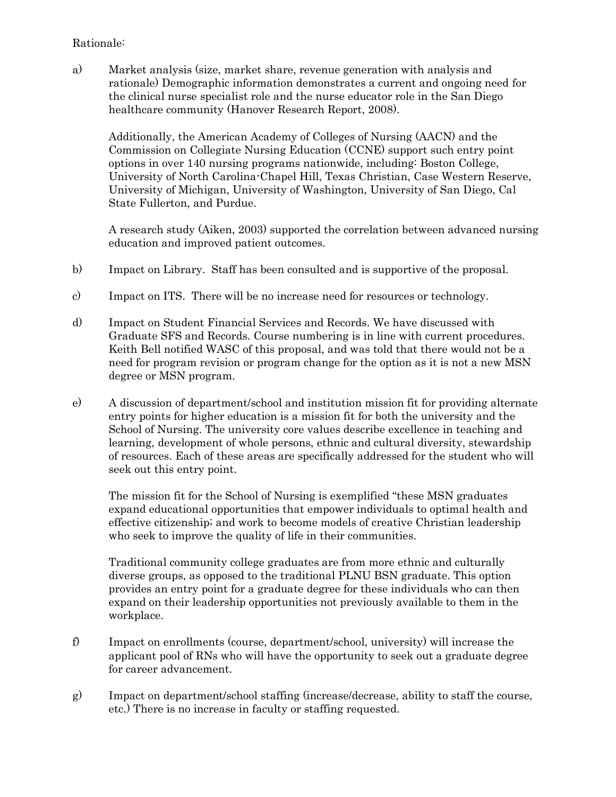### Rationale:

a) Market analysis (size, market share, revenue generation with analysis and rationale) Demographic information demonstrates a current and ongoing need for the clinical nurse specialist role and the nurse educator role in the San Diego healthcare community (Hanover Research Report, 2008).

Additionally, the American Academy of Colleges of Nursing (AACN) and the Commission on Collegiate Nursing Education (CCNE) support such entry point options in over 140 nursing programs nationwide, including: Boston College, University of North Carolina-Chapel Hill, Texas Christian, Case Western Reserve, University of Michigan, University of Washington, University of San Diego, Cal State Fullerton, and Purdue.

A research study (Aiken, 2003) supported the correlation between advanced nursing education and improved patient outcomes.

- b) Impact on Library. Staff has been consulted and is supportive of the proposal.
- c) Impact on ITS. There will be no increase need for resources or technology.
- d) Impact on Student Financial Services and Records. We have discussed with Graduate SFS and Records. Course numbering is in line with current procedures. Keith Bell notified WASC of this proposal, and was told that there would not be a need for program revision or program change for the option as it is not a new MSN degree or MSN program.
- e) A discussion of department/school and institution mission fit for providing alternate entry points for higher education is a mission fit for both the university and the School of Nursing. The university core values describe excellence in teaching and learning, development of whole persons, ethnic and cultural diversity, stewardship of resources. Each of these areas are specifically addressed for the student who will seek out this entry point.

The mission fit for the School of Nursing is exemplified "these MSN graduates expand educational opportunities that empower individuals to optimal health and effective citizenship; and work to become models of creative Christian leadership who seek to improve the quality of life in their communities.

Traditional community college graduates are from more ethnic and culturally diverse groups, as opposed to the traditional PLNU BSN graduate. This option provides an entry point for a graduate degree for these individuals who can then expand on their leadership opportunities not previously available to them in the workplace.

- f) Impact on enrollments (course, department/school, university) will increase the applicant pool of RNs who will have the opportunity to seek out a graduate degree for career advancement.
- g) Impact on department/school staffing (increase/decrease, ability to staff the course, etc.) There is no increase in faculty or staffing requested.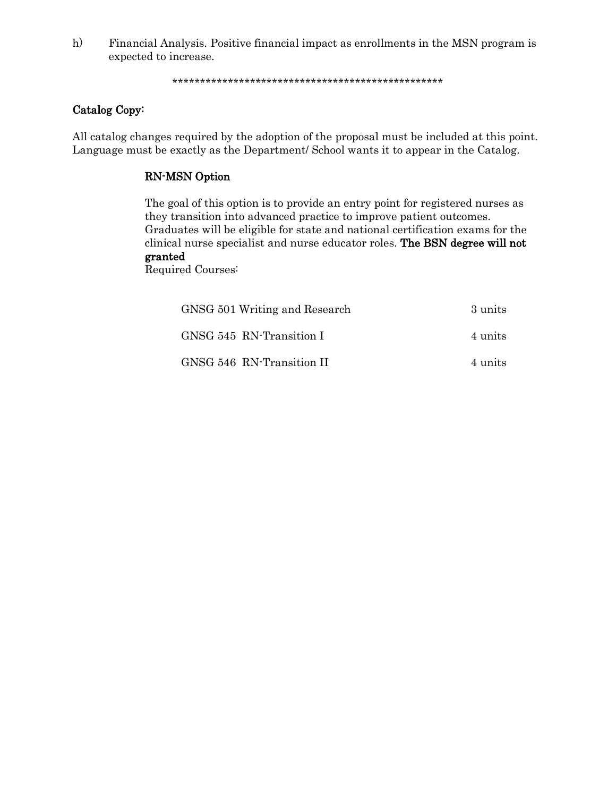h) Financial Analysis. Positive financial impact as enrollments in the MSN program is expected to increase.

\*\*\*\*\*\*\*\*\*\*\*\*\*\*\*\*\*\*\*\*\*\*\*\*\*\*\*\*\*\*\*\*\*\*\*\*\*\*\*\*\*\*\*\*\*\*\*\*\*

### Catalog Copy:

All catalog changes required by the adoption of the proposal must be included at this point. Language must be exactly as the Department/ School wants it to appear in the Catalog.

### RN-MSN Option

The goal of this option is to provide an entry point for registered nurses as they transition into advanced practice to improve patient outcomes. Graduates will be eligible for state and national certification exams for the clinical nurse specialist and nurse educator roles. The BSN degree will not granted

Required Courses:

| GNSG 501 Writing and Research | 3 units |
|-------------------------------|---------|
| GNSG 545 RN-Transition I      | 4 units |
| GNSG 546 RN-Transition II     | 4 units |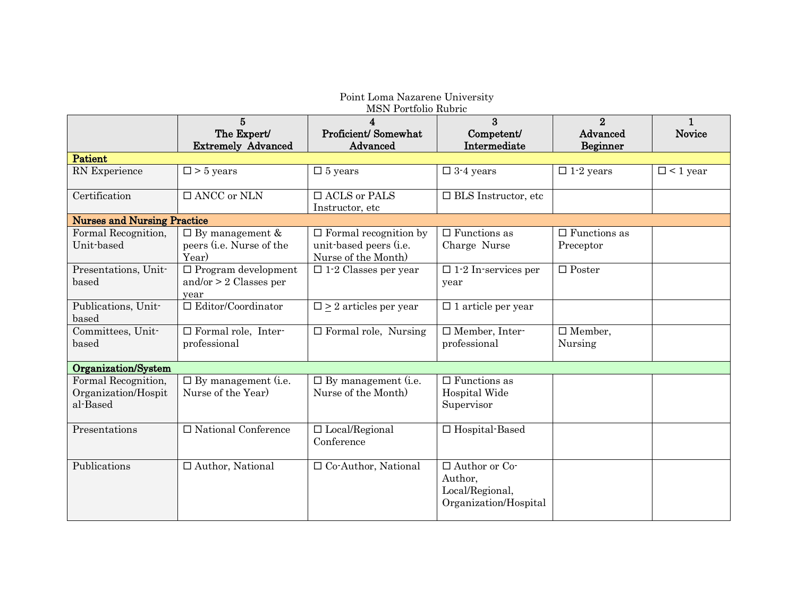| Point Loma Nazarene University                         |                                                                     |                                                                               |                                                                             |                                        |                        |
|--------------------------------------------------------|---------------------------------------------------------------------|-------------------------------------------------------------------------------|-----------------------------------------------------------------------------|----------------------------------------|------------------------|
| MSN Portfolio Rubric                                   |                                                                     |                                                                               |                                                                             |                                        |                        |
|                                                        | $5\overline{5}$<br>The Expert/<br><b>Extremely Advanced</b>         | 4<br>Proficient/Somewhat<br>Advanced                                          | 3<br>Competent/<br>Intermediate                                             | $\overline{2}$<br>Advanced<br>Beginner | $\mathbf{1}$<br>Novice |
| <b>Patient</b>                                         |                                                                     |                                                                               |                                                                             |                                        |                        |
| RN Experience                                          | $\square$ > 5 years                                                 | $\square$ 5 years                                                             | $\square$ 3-4 years                                                         | $\Box$ 1-2 years                       | $\Box$ < 1 year        |
| Certification                                          | $\Box$ ANCC or NLN                                                  | $\Box$ ACLS or PALS<br>Instructor, etc                                        | $\Box$<br>BLS Instructor, etc                                               |                                        |                        |
| <b>Nurses and Nursing Practice</b>                     |                                                                     |                                                                               |                                                                             |                                        |                        |
| Formal Recognition,<br>Unit-based                      | $\Box$ By management &<br>peers ( <i>i.e.</i> Nurse of the<br>Year) | $\Box$ Formal recognition by<br>unit-based peers (i.e.<br>Nurse of the Month) | $\Box$ Functions as<br>Charge Nurse                                         | $\Box$ Functions as<br>Preceptor       |                        |
| Presentations, Unit-<br>based                          | $\Box$ Program development<br>and/or $> 2$ Classes per<br>year      | $\square$ 1-2 Classes per year                                                | $\square$ 1.2 In services per<br>year                                       | $\Box$ Poster                          |                        |
| Publications, Unit-<br>based                           | $\Box$ Editor/Coordinator                                           | $\square \geq 2$ articles per year                                            | $\Box$ 1 article per year                                                   |                                        |                        |
| Committees, Unit-<br>based                             | $\overline{\Box}$ Formal role, Inter-<br>professional               | $\Box$ Formal role, Nursing                                                   | □ Member, Inter-<br>professional                                            | $\Box$ Member,<br>Nursing              |                        |
| Organization/System                                    |                                                                     |                                                                               |                                                                             |                                        |                        |
| Formal Recognition,<br>Organization/Hospit<br>al-Based | $\Box$ By management (i.e.<br>Nurse of the Year)                    | $\Box$ By management (i.e.<br>Nurse of the Month)                             | $\Box$ Functions as<br>Hospital Wide<br>Supervisor                          |                                        |                        |
| Presentations                                          | $\Box$ National Conference                                          | $\Box$ Local/Regional<br>Conference                                           | $\Box$ Hospital-Based                                                       |                                        |                        |
| Publications                                           | $\Box$ Author, National                                             | $\Box$ Co-Author, National                                                    | $\Box$ Author or Co-<br>Author,<br>Local/Regional,<br>Organization/Hospital |                                        |                        |